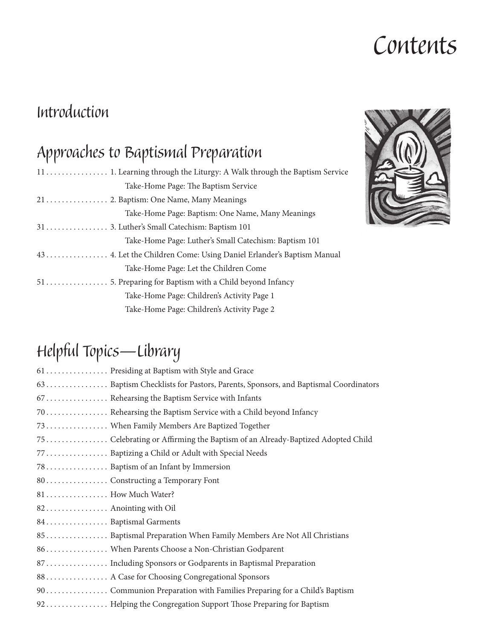# *Contents*

### *Introduction*

## *Approaches to Baptismal Preparation*

| Take-Home Page: The Baptism Service                                  |
|----------------------------------------------------------------------|
|                                                                      |
| Take-Home Page: Baptism: One Name, Many Meanings                     |
|                                                                      |
| Take-Home Page: Luther's Small Catechism: Baptism 101                |
| 43  4. Let the Children Come: Using Daniel Erlander's Baptism Manual |
| Take-Home Page: Let the Children Come                                |
|                                                                      |
| Take-Home Page: Children's Activity Page 1                           |
| Take-Home Page: Children's Activity Page 2                           |



## *Helpful Topics—Library*

| 61  Presiding at Baptism with Style and Grace                                    |
|----------------------------------------------------------------------------------|
| 63 Baptism Checklists for Pastors, Parents, Sponsors, and Baptismal Coordinators |
| 67  Rehearsing the Baptism Service with Infants                                  |
| 70.  Rehearsing the Baptism Service with a Child beyond Infancy                  |
| 73  When Family Members Are Baptized Together                                    |
| 75  Celebrating or Affirming the Baptism of an Already-Baptized Adopted Child    |
| 77 Baptizing a Child or Adult with Special Needs                                 |
| 78 Baptism of an Infant by Immersion                                             |
| 80 Constructing a Temporary Font                                                 |
| 81  How Much Water?                                                              |
| 82. Anointing with Oil                                                           |
| 84. Baptismal Garments                                                           |
| 85 Baptismal Preparation When Family Members Are Not All Christians              |
| 86 When Parents Choose a Non-Christian Godparent                                 |
| 87 Including Sponsors or Godparents in Baptismal Preparation                     |
| 88. A Case for Choosing Congregational Sponsors                                  |
|                                                                                  |
| 92 Helping the Congregation Support Those Preparing for Baptism                  |